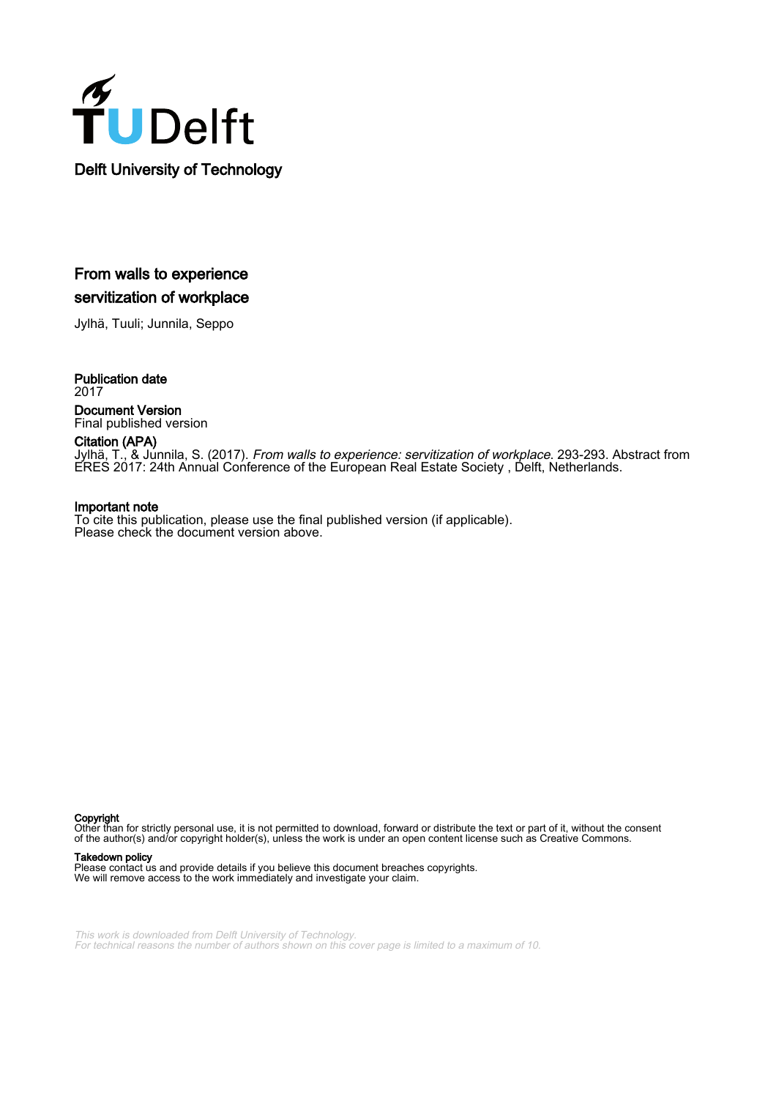

## From walls to experience servitization of workplace

Jylhä, Tuuli; Junnila, Seppo

Publication date 2017 Document Version Final published version

Citation (APA)

Jylhä, T., & Junnila, S. (2017). From walls to experience: servitization of workplace. 293-293. Abstract from ERES 2017: 24th Annual Conference of the European Real Estate Society , Delft, Netherlands.

### Important note

To cite this publication, please use the final published version (if applicable). Please check the document version above.

Copyright

Other than for strictly personal use, it is not permitted to download, forward or distribute the text or part of it, without the consent of the author(s) and/or copyright holder(s), unless the work is under an open content license such as Creative Commons.

#### Takedown policy

Please contact us and provide details if you believe this document breaches copyrights. We will remove access to the work immediately and investigate your claim.

This work is downloaded from Delft University of Technology. For technical reasons the number of authors shown on this cover page is limited to a maximum of 10.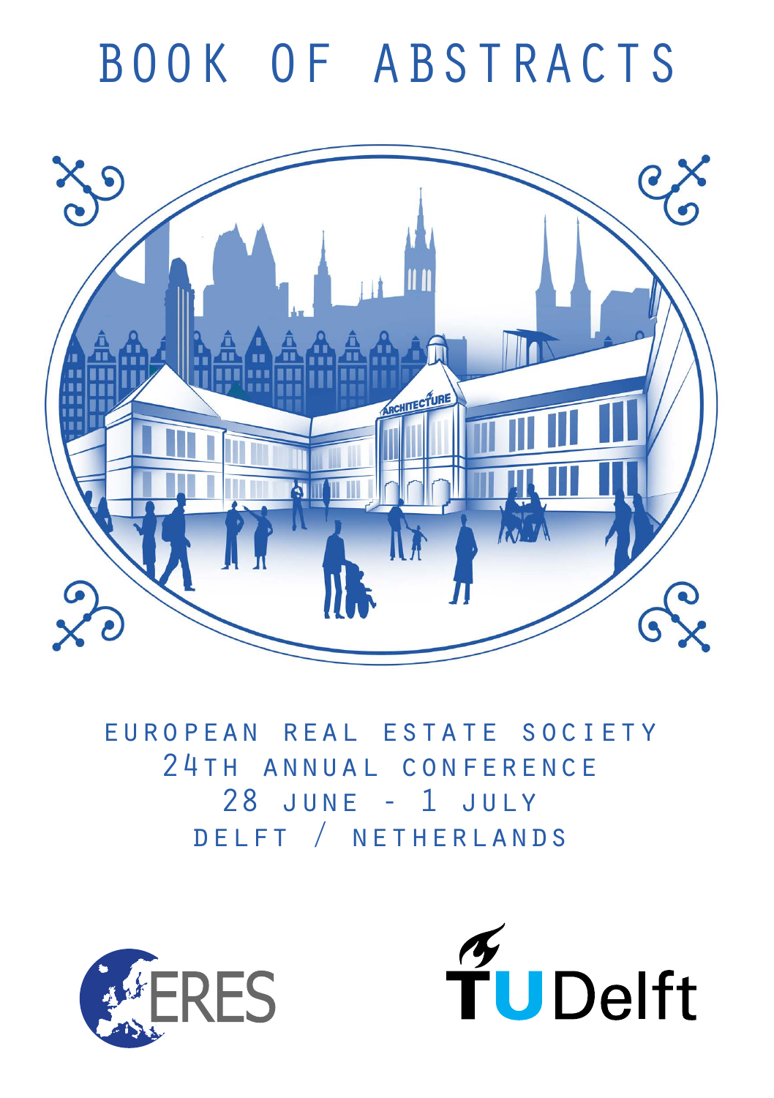# BOOK OF ABSTRACTS



european real estate society 24th annual conference 28 june - 1 july delft / netherlands